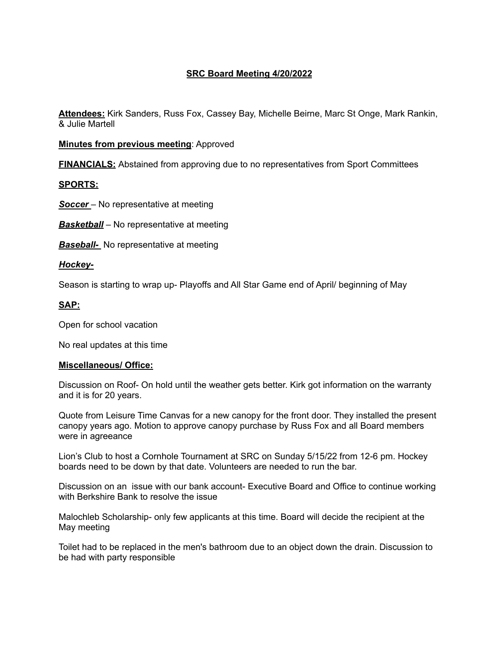# **SRC Board Meeting 4/20/2022**

**Attendees:** Kirk Sanders, Russ Fox, Cassey Bay, Michelle Beirne, Marc St Onge, Mark Rankin, & Julie Martell

**Minutes from previous meeting**: Approved

**FINANCIALS:** Abstained from approving due to no representatives from Sport Committees

**SPORTS:**

**Soccer** – No representative at meeting

*Basketball* – No representative at meeting

**Baseball-** No representative at meeting

#### *Hockey-*

Season is starting to wrap up- Playoffs and All Star Game end of April/ beginning of May

#### **SAP:**

Open for school vacation

No real updates at this time

#### **Miscellaneous/ Office:**

Discussion on Roof- On hold until the weather gets better. Kirk got information on the warranty and it is for 20 years.

Quote from Leisure Time Canvas for a new canopy for the front door. They installed the present canopy years ago. Motion to approve canopy purchase by Russ Fox and all Board members were in agreeance

Lion's Club to host a Cornhole Tournament at SRC on Sunday 5/15/22 from 12-6 pm. Hockey boards need to be down by that date. Volunteers are needed to run the bar.

Discussion on an issue with our bank account- Executive Board and Office to continue working with Berkshire Bank to resolve the issue

Malochleb Scholarship- only few applicants at this time. Board will decide the recipient at the May meeting

Toilet had to be replaced in the men's bathroom due to an object down the drain. Discussion to be had with party responsible